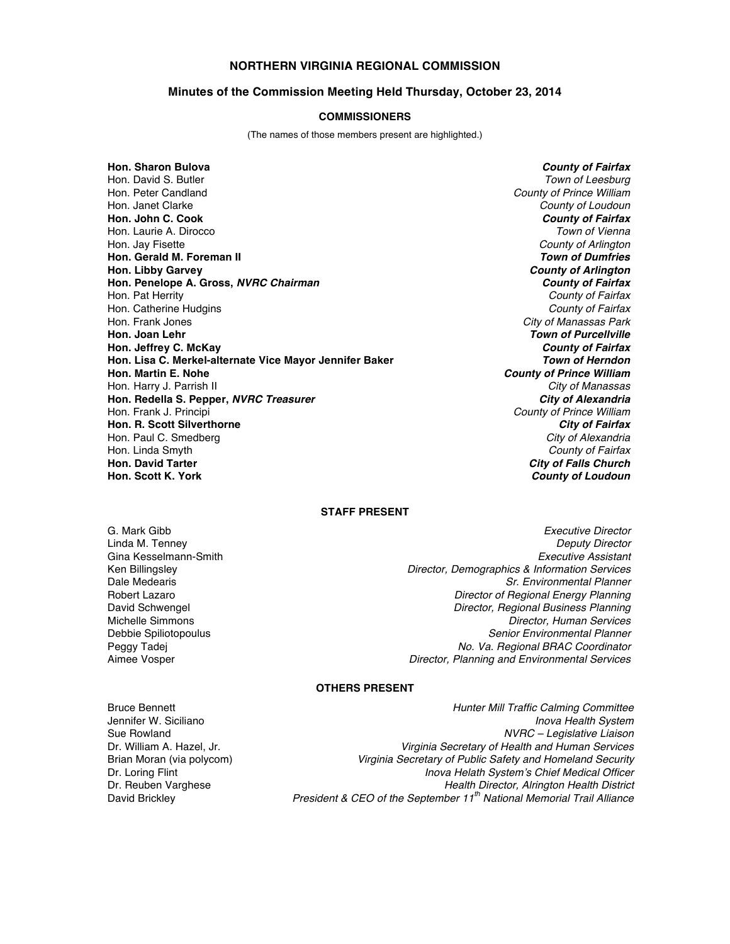## **NORTHERN VIRGINIA REGIONAL COMMISSION**

## **Minutes of the Commission Meeting Held Thursday, October 23, 2014**

#### **COMMISSIONERS**

(The names of those members present are highlighted.)

**Hon. Sharon Bulova** *County of Fairfax* Hon. David S. Butler *Town of Leesburg* Hon. Janet Clarke *County of Loudoun* **Hon. John C. Cook** *County of Fairfax* Hon. Laurie A. Dirocco Hon. Jay Fisette *County of Arlington* **Hon. Gerald M. Foreman II Hon. Libby Garvey** *County of Arlington* **Hon. Penelope A. Gross,** *NVRC Chairman County of Fairfax* Hon. Pat Herrity *County of Fairfax* Hon. Catherine Hudgins *County of Fairfax* Hon. Frank Jones *City of Manassas Park* **Hon. Joan Lehr** *Town of Purcellville* **Hon. Jeffrey C. McKay** *County of Fairfax* **Hon. Lisa C. Merkel-alternate Vice Mayor Jennifer Baker Hon. Martin E. Nohe** *County of Prince William* Hon. Harry J. Parrish II *City of Manassas* **Hon. Redella S. Pepper,** *NVRC Treasurer City of Alexandria* Hon. Frank J. Principi *County of Prince William* **Hon. R. Scott Silverthorne** *City of Fairfax* Hon. Paul C. Smedberg Hon. Linda Smyth *County of Fairfax* **Hon. David Tarter** *City of Falls Church* **Hon. Scott K. York** *County of Loudoun*

**County of Prince William** 

## **STAFF PRESENT**

G. Mark Gibb *Executive Director* Linda M. Tenney *Deputy Director* Gina Kesselmann-Smith *Executive Assistant* Ken Billingsley *Director, Demographics & Information Services* Dale Medearis *Sr. Environmental Planner* Robert Lazaro *Director of Regional Energy Planning* David Schwengel *Director, Regional Business Planning* Michelle Simmons *Director, Human Services* Debbie Spiliotopoulus *Senior Environmental Planner* Peggy Tadej *No. Va. Regional BRAC Coordinator* Aimee Vosper *Director, Planning and Environmental Services*

# **OTHERS PRESENT**

Bruce Bennett *Hunter Mill Traffic Calming Committee*

Jennifer W. Siciliano *Inova Health System* Sue Rowland *NVRC – Legislative Liaison* Dr. William A. Hazel, Jr. *Virginia Secretary of Health and Human Services* Virginia Secretary of Public Safety and Homeland Security Dr. Loring Flint *Inova Helath System's Chief Medical Officer* Dr. Reuben Varghese *Health Director, Alrington Health District* **President & CEO of the September 11<sup>th</sup> National Memorial Trail Alliance**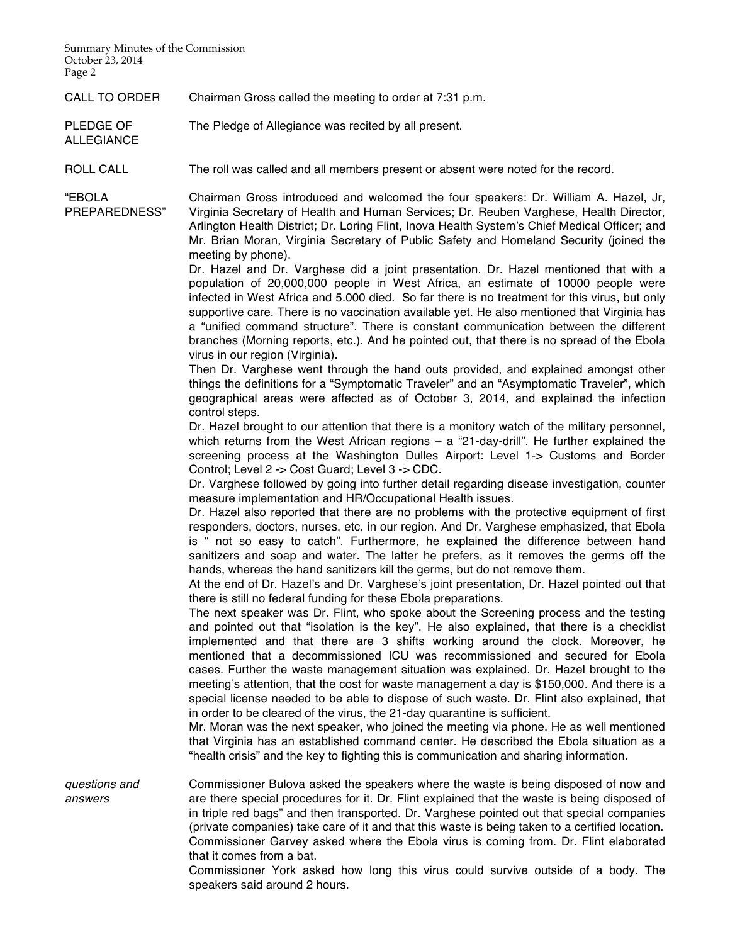Summary Minutes of the Commission October 23, 2014 Page 2

ALLEGIANCE

CALL TO ORDER Chairman Gross called the meeting to order at 7:31 p.m.

PLEDGE OF The Pledge of Allegiance was recited by all present.

ROLL CALL The roll was called and all members present or absent were noted for the record.

"EBOLA PREPAREDNESS" Chairman Gross introduced and welcomed the four speakers: Dr. William A. Hazel, Jr, Virginia Secretary of Health and Human Services; Dr. Reuben Varghese, Health Director, Arlington Health District; Dr. Loring Flint, Inova Health System's Chief Medical Officer; and Mr. Brian Moran, Virginia Secretary of Public Safety and Homeland Security (joined the meeting by phone).

> Dr. Hazel and Dr. Varghese did a joint presentation. Dr. Hazel mentioned that with a population of 20,000,000 people in West Africa, an estimate of 10000 people were infected in West Africa and 5.000 died. So far there is no treatment for this virus, but only supportive care. There is no vaccination available yet. He also mentioned that Virginia has a "unified command structure". There is constant communication between the different branches (Morning reports, etc.). And he pointed out, that there is no spread of the Ebola virus in our region (Virginia).

> Then Dr. Varghese went through the hand outs provided, and explained amongst other things the definitions for a "Symptomatic Traveler" and an "Asymptomatic Traveler", which geographical areas were affected as of October 3, 2014, and explained the infection control steps.

> Dr. Hazel brought to our attention that there is a monitory watch of the military personnel, which returns from the West African regions – a "21-day-drill". He further explained the screening process at the Washington Dulles Airport: Level 1-> Customs and Border Control; Level 2 -> Cost Guard; Level 3 -> CDC.

> Dr. Varghese followed by going into further detail regarding disease investigation, counter measure implementation and HR/Occupational Health issues.

> Dr. Hazel also reported that there are no problems with the protective equipment of first responders, doctors, nurses, etc. in our region. And Dr. Varghese emphasized, that Ebola is " not so easy to catch". Furthermore, he explained the difference between hand sanitizers and soap and water. The latter he prefers, as it removes the germs off the hands, whereas the hand sanitizers kill the germs, but do not remove them.

> At the end of Dr. Hazel's and Dr. Varghese's joint presentation, Dr. Hazel pointed out that there is still no federal funding for these Ebola preparations.

> The next speaker was Dr. Flint, who spoke about the Screening process and the testing and pointed out that "isolation is the key". He also explained, that there is a checklist implemented and that there are 3 shifts working around the clock. Moreover, he mentioned that a decommissioned ICU was recommissioned and secured for Ebola cases. Further the waste management situation was explained. Dr. Hazel brought to the meeting's attention, that the cost for waste management a day is \$150,000. And there is a special license needed to be able to dispose of such waste. Dr. Flint also explained, that in order to be cleared of the virus, the 21-day quarantine is sufficient.

> Mr. Moran was the next speaker, who joined the meeting via phone. He as well mentioned that Virginia has an established command center. He described the Ebola situation as a "health crisis" and the key to fighting this is communication and sharing information.

*questions and answers* Commissioner Bulova asked the speakers where the waste is being disposed of now and are there special procedures for it. Dr. Flint explained that the waste is being disposed of in triple red bags" and then transported. Dr. Varghese pointed out that special companies (private companies) take care of it and that this waste is being taken to a certified location. Commissioner Garvey asked where the Ebola virus is coming from. Dr. Flint elaborated that it comes from a bat.

> Commissioner York asked how long this virus could survive outside of a body. The speakers said around 2 hours.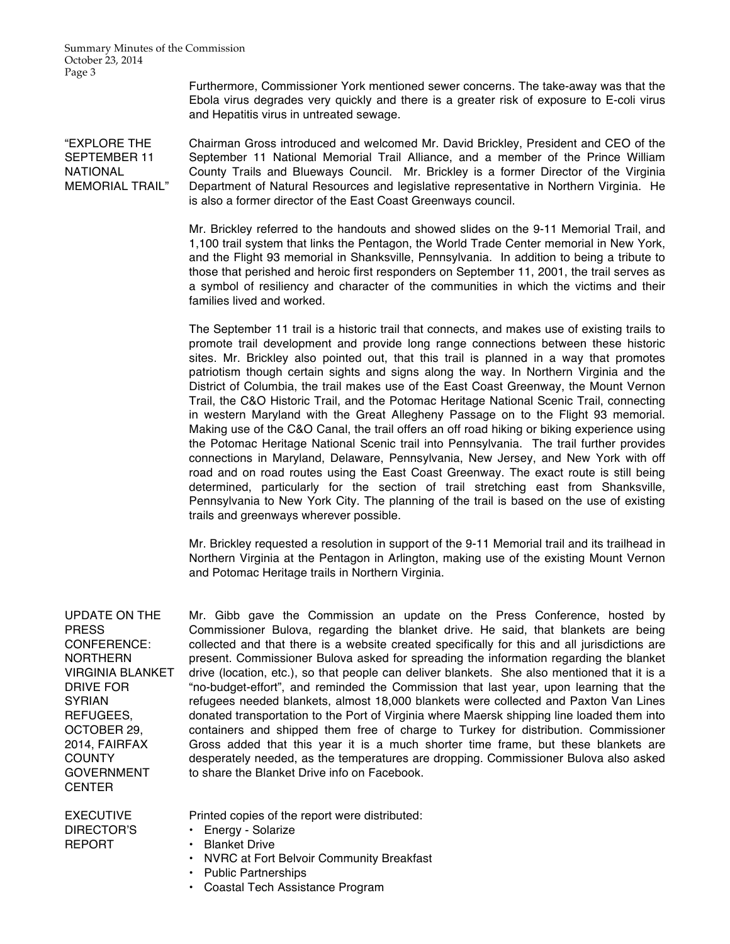Summary Minutes of the Commission October 23, 2014 Page 3

> Furthermore, Commissioner York mentioned sewer concerns. The take-away was that the Ebola virus degrades very quickly and there is a greater risk of exposure to E-coli virus and Hepatitis virus in untreated sewage.

"EXPLORE THE SEPTEMBER 11 NATIONAL MEMORIAL TRAIL" Chairman Gross introduced and welcomed Mr. David Brickley, President and CEO of the September 11 National Memorial Trail Alliance, and a member of the Prince William County Trails and Blueways Council. Mr. Brickley is a former Director of the Virginia Department of Natural Resources and legislative representative in Northern Virginia. He is also a former director of the East Coast Greenways council.

> Mr. Brickley referred to the handouts and showed slides on the 9-11 Memorial Trail, and 1,100 trail system that links the Pentagon, the World Trade Center memorial in New York, and the Flight 93 memorial in Shanksville, Pennsylvania. In addition to being a tribute to those that perished and heroic first responders on September 11, 2001, the trail serves as a symbol of resiliency and character of the communities in which the victims and their families lived and worked.

> The September 11 trail is a historic trail that connects, and makes use of existing trails to promote trail development and provide long range connections between these historic sites. Mr. Brickley also pointed out, that this trail is planned in a way that promotes patriotism though certain sights and signs along the way. In Northern Virginia and the District of Columbia, the trail makes use of the East Coast Greenway, the Mount Vernon Trail, the C&O Historic Trail, and the Potomac Heritage National Scenic Trail, connecting in western Maryland with the Great Allegheny Passage on to the Flight 93 memorial. Making use of the C&O Canal, the trail offers an off road hiking or biking experience using the Potomac Heritage National Scenic trail into Pennsylvania. The trail further provides connections in Maryland, Delaware, Pennsylvania, New Jersey, and New York with off road and on road routes using the East Coast Greenway. The exact route is still being determined, particularly for the section of trail stretching east from Shanksville, Pennsylvania to New York City. The planning of the trail is based on the use of existing trails and greenways wherever possible.

> Mr. Brickley requested a resolution in support of the 9-11 Memorial trail and its trailhead in Northern Virginia at the Pentagon in Arlington, making use of the existing Mount Vernon and Potomac Heritage trails in Northern Virginia.

UPDATE ON THE PRESS CONFERENCE: NORTHERN VIRGINIA BLANKET DRIVE FOR SYRIAN REFUGEES, OCTOBER 29, 2014, FAIRFAX **COUNTY** GOVERNMENT **CENTER** 

Mr. Gibb gave the Commission an update on the Press Conference, hosted by Commissioner Bulova, regarding the blanket drive. He said, that blankets are being collected and that there is a website created specifically for this and all jurisdictions are present. Commissioner Bulova asked for spreading the information regarding the blanket drive (location, etc.), so that people can deliver blankets. She also mentioned that it is a "no-budget-effort", and reminded the Commission that last year, upon learning that the refugees needed blankets, almost 18,000 blankets were collected and Paxton Van Lines donated transportation to the Port of Virginia where Maersk shipping line loaded them into containers and shipped them free of charge to Turkey for distribution. Commissioner Gross added that this year it is a much shorter time frame, but these blankets are desperately needed, as the temperatures are dropping. Commissioner Bulova also asked to share the Blanket Drive info on Facebook.

EXECUTIVE DIRECTOR'S REPORT

Printed copies of the report were distributed:

• Energy - Solarize

- Blanket Drive
- NVRC at Fort Belvoir Community Breakfast
- Public Partnerships
- Coastal Tech Assistance Program